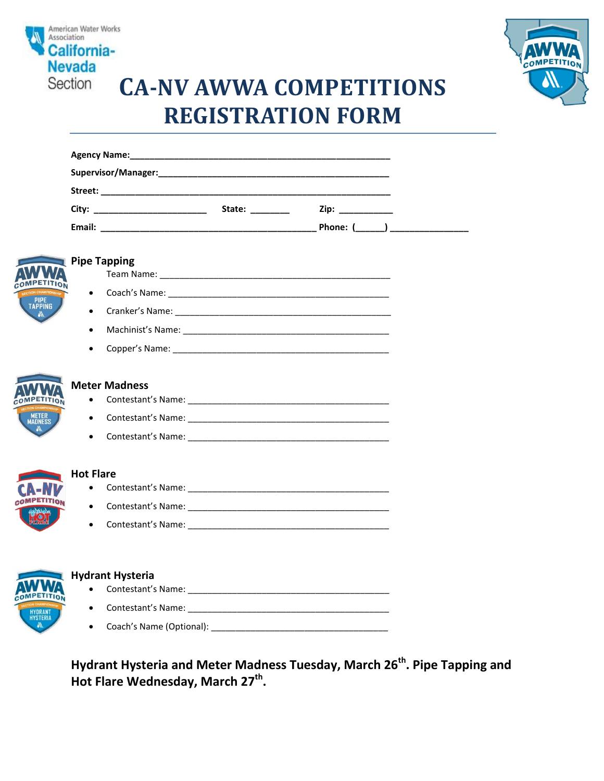

**MPETI** 

OMPETIT

**MPETIT** 



# **CA-NV AWWA COMPETITIONS REGISTRATION FORM**

|                                        | Zip: __________ |
|----------------------------------------|-----------------|
|                                        |                 |
| Pipe Tapping                           |                 |
| <b>ELON</b>                            |                 |
| $\bullet$                              |                 |
|                                        |                 |
| $\bullet$                              |                 |
| $\bullet$                              |                 |
| $\bullet$<br>$\bullet$                 |                 |
| <b>Hot Flare</b>                       |                 |
|                                        |                 |
| $\bullet$                              |                 |
| $\bullet$                              |                 |
|                                        |                 |
| Hydrant Hysteria                       |                 |
|                                        |                 |
| <b>Contestant's Name:</b><br>$\bullet$ |                 |

**Hydrant Hysteria and Meter Madness Tuesday, March 26th. Pipe Tapping and Hot Flare Wednesday, March 27th .** 

Coach's Name (Optional): \_\_\_\_\_\_\_\_\_\_\_\_\_\_\_\_\_\_\_\_\_\_\_\_\_\_\_\_\_\_\_\_\_\_\_\_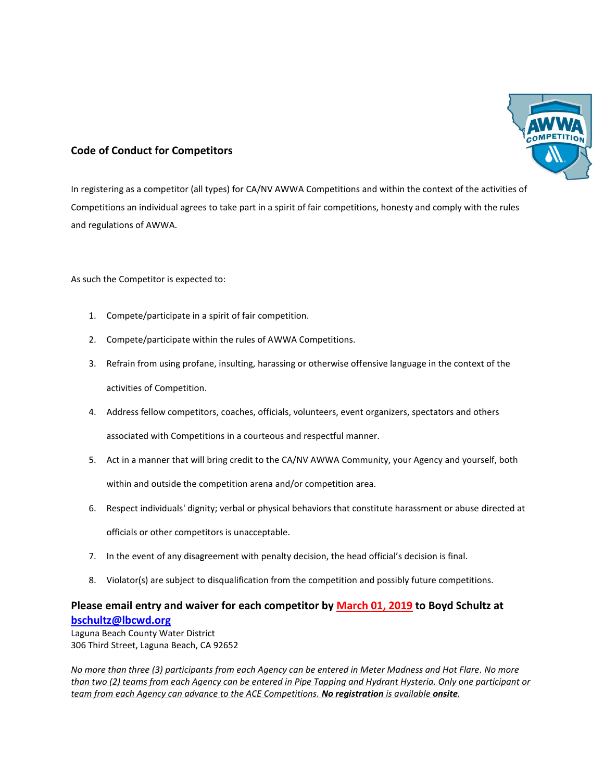

### **Code of Conduct for Competitors**

In registering as a competitor (all types) for CA/NV AWWA Competitions and within the context of the activities of Competitions an individual agrees to take part in a spirit of fair competitions, honesty and comply with the rules and regulations of AWWA.

As such the Competitor is expected to:

- 1. Compete/participate in a spirit of fair competition.
- 2. Compete/participate within the rules of AWWA Competitions.
- 3. Refrain from using profane, insulting, harassing or otherwise offensive language in the context of the activities of Competition.
- 4. Address fellow competitors, coaches, officials, volunteers, event organizers, spectators and others associated with Competitions in a courteous and respectful manner.
- 5. Act in a manner that will bring credit to the CA/NV AWWA Community, your Agency and yourself, both within and outside the competition arena and/or competition area.
- 6. Respect individuals' dignity; verbal or physical behaviors that constitute harassment or abuse directed at officials or other competitors is unacceptable.
- 7. In the event of any disagreement with penalty decision, the head official's decision is final.
- 8. Violator(s) are subject to disqualification from the competition and possibly future competitions.

## **Please email entry and waiver for each competitor by March 01, 2019 to Boyd Schultz at [bschultz@lbcwd.org](mailto:bschultz@lbcwd.org)**

Laguna Beach County Water District 306 Third Street, Laguna Beach, CA 92652

*No more than three (3) participants from each Agency can be entered in Meter Madness and Hot Flare. No more than two (2) teams from each Agency can be entered in Pipe Tapping and Hydrant Hysteria. Only one participant or team from each Agency can advance to the ACE Competitions. No registration is available onsite.*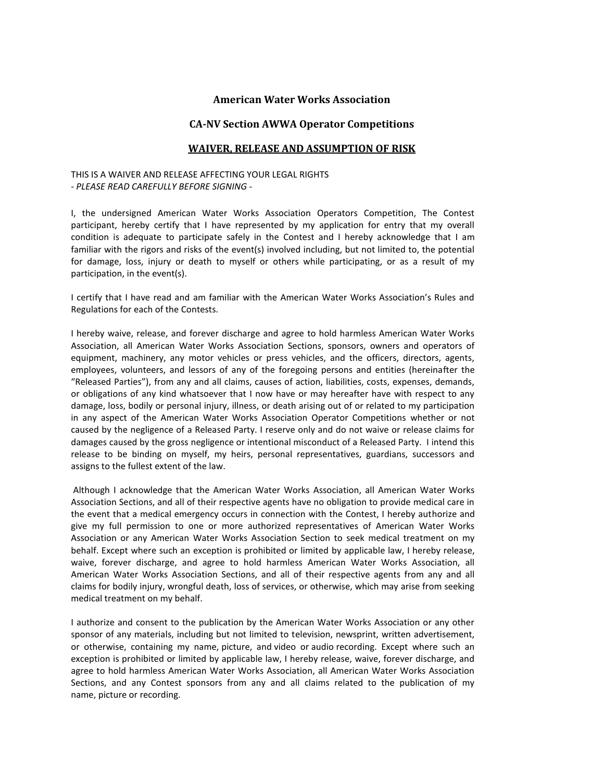#### **American Water Works Association**

#### **CA-NV Section AWWA Operator Competitions**

#### **WAIVER, RELEASE AND ASSUMPTION OF RISK**

#### THIS IS A WAIVER AND RELEASE AFFECTING YOUR LEGAL RIGHTS *- PLEASE READ CAREFULLY BEFORE SIGNING -*

I, the undersigned American Water Works Association Operators Competition, The Contest participant, hereby certify that I have represented by my application for entry that my overall condition is adequate to participate safely in the Contest and I hereby acknowledge that I am familiar with the rigors and risks of the event(s) involved including, but not limited to, the potential for damage, loss, injury or death to myself or others while participating, or as a result of my participation, in the event(s).

I certify that I have read and am familiar with the American Water Works Association's Rules and Regulations for each of the Contests.

I hereby waive, release, and forever discharge and agree to hold harmless American Water Works Association, all American Water Works Association Sections, sponsors, owners and operators of equipment, machinery, any motor vehicles or press vehicles, and the officers, directors, agents, employees, volunteers, and lessors of any of the foregoing persons and entities (hereinafter the "Released Parties"), from any and all claims, causes of action, liabilities, costs, expenses, demands, or obligations of any kind whatsoever that I now have or may hereafter have with respect to any damage, loss, bodily or personal injury, illness, or death arising out of or related to my participation in any aspect of the American Water Works Association Operator Competitions whether or not caused by the negligence of a Released Party. I reserve only and do not waive or release claims for damages caused by the gross negligence or intentional misconduct of a Released Party. I intend this release to be binding on myself, my heirs, personal representatives, guardians, successors and assigns to the fullest extent of the law.

 Although I acknowledge that the American Water Works Association, all American Water Works Association Sections, and all of their respective agents have no obligation to provide medical care in the event that a medical emergency occurs in connection with the Contest, I hereby authorize and give my full permission to one or more authorized representatives of American Water Works Association or any American Water Works Association Section to seek medical treatment on my behalf. Except where such an exception is prohibited or limited by applicable law, I hereby release, waive, forever discharge, and agree to hold harmless American Water Works Association, all American Water Works Association Sections, and all of their respective agents from any and all claims for bodily injury, wrongful death, loss of services, or otherwise, which may arise from seeking medical treatment on my behalf.

I authorize and consent to the publication by the American Water Works Association or any other sponsor of any materials, including but not limited to television, newsprint, written advertisement, or otherwise, containing my name, picture, and video or audio recording. Except where such an exception is prohibited or limited by applicable law, I hereby release, waive, forever discharge, and agree to hold harmless American Water Works Association, all American Water Works Association Sections, and any Contest sponsors from any and all claims related to the publication of my name, picture or recording.